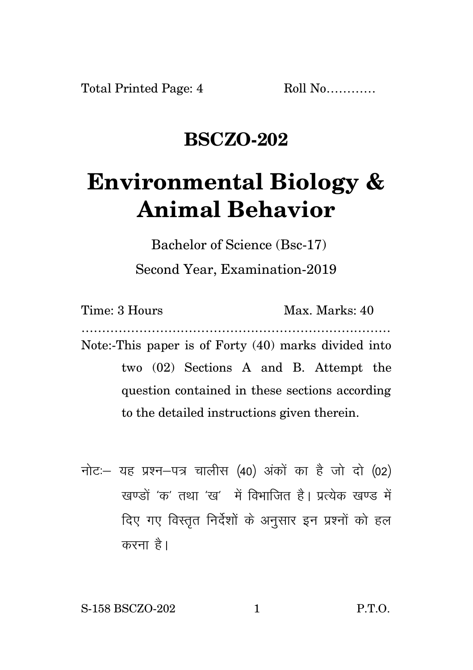## **BSCZO-202**

## **Environmental Biology & Animal Behavior**

Bachelor of Science (Bsc-17) Second Year, Examination-2019

| Time: 3 Hours                                  | Max. Marks: 40                                       |
|------------------------------------------------|------------------------------------------------------|
|                                                | Note:-This paper is of Forty (40) marks divided into |
|                                                | two (02) Sections A and B. Attempt the               |
| question contained in these sections according |                                                      |
| to the detailed instructions given therein.    |                                                      |

नोट: यह प्रश्न-पत्र चालीस (40) अंकों का है जो दो (02) खण्डों 'क' तथा 'ख' में विभाजित है। प्रत्येक खण्ड में दिए गए विस्तृत निर्देशों के अनुसार इन प्रश्नों को हल करना है।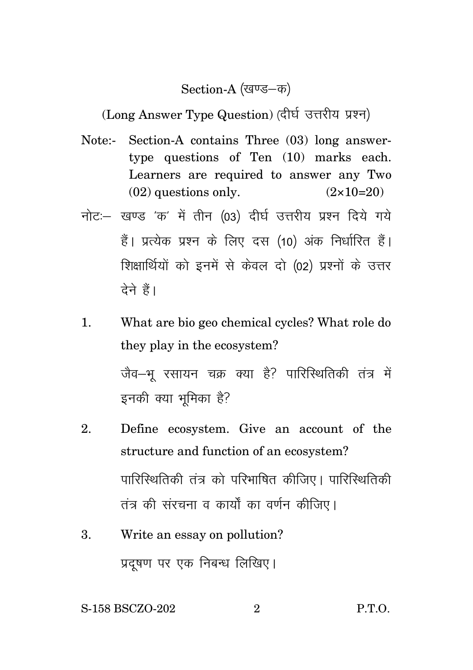## Section-A (खण्ड–क)

(Long Answer Type Question) (दीर्घ उत्तरीय प्रश्न)

- Note:- Section-A contains Three (03) long answertype questions of Ten (10) marks each. Learners are required to answer any Two  $(02)$  questions only.  $(2 \times 10=20)$
- नोट: खण्ड 'क' में तीन (03) दीर्घ उत्तरीय प्रश्न दिये गये हैं। प्रत्येक प्रश्न के लिए दस (10) अंक निर्धारित हैं। शिक्षार्थियों को इनमें से केवल दो (02) प्रश्नों के उत्तर देने हैं।
- 1. What are bio geo chemical cycles? What role do they play in the ecosystem? जैव–भू रसायन चक्र क्या है? पारिस्थितिकी तंत्र में इनकी क्या भूमिका है?
- 2. Define ecosystem. Give an account of the structure and function of an ecosystem? पारिस्थितिकी तंत्र को परिभाषित कीजिए। पारिस्थितिकी तंत्र की संरचना व कार्यों का वर्णन कीजिए।
- 3. Write an essay on pollution? प्रदुषण पर एक निबन्ध लिखिए।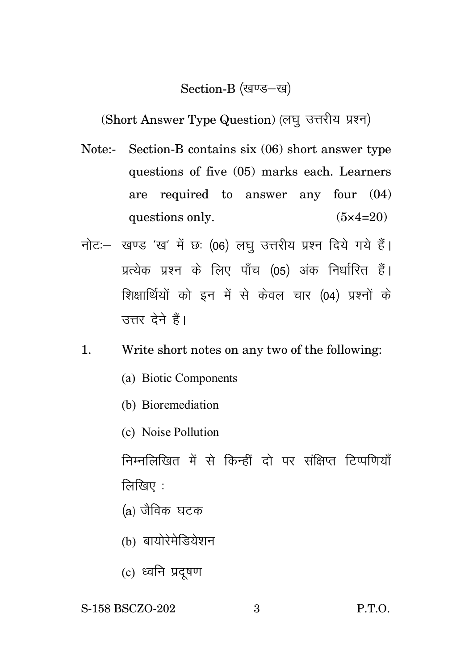## Section-B (खण्ड–ख)

(Short Answer Type Question) (लघु उत्तरीय प्रश्न)

- Note:- Section-B contains six (06) short answer type questions of five (05) marks each. Learners are required to answer any four (04) questions only.  $(5 \times 4=20)$
- नोट: खण्ड 'ख' में छः (06) लघु उत्तरीय प्रश्न दिये गये हैं। प्रत्येक प्रश्न के लिए पाँच (05) अंक निर्धारित हैं। शिक्षार्थियों को इन में से केवल चार (04) प्रश्नों के उत्तर देने हैं।
- 1. Write short notes on any two of the following:
	- (a) Biotic Components
	- (b) Bioremediation
	- (c) Noise Pollution

निम्नलिखित में से किन्हीं दो पर संक्षिप्त टिप्पणियाँ लिखिए $\,$  :

- $(a)$  जैविक घटक
- (b) बायोरेमेडियेशन
- (c) ध्वनि प्रदुषण